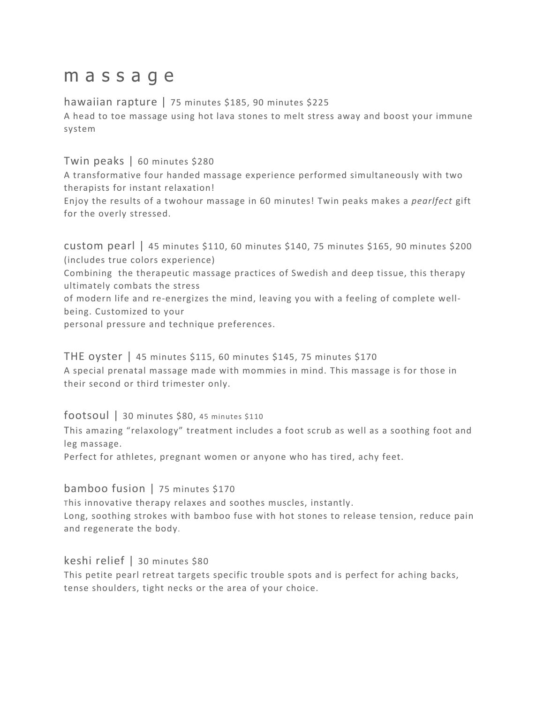# m a s s a q e

hawaiian rapture | 75 minutes \$185, 90 minutes \$225 A head to toe massage using hot lava stones to melt stress away and boost your immune system

## Twin peaks | 60 minutes \$280

A transformative four handed massage experience performed simultaneously with two therapists for instant relaxation!

Enjoy the results of a twohour massage in 60 minutes! Twin peaks makes a *pearlfect* gift for the overly stressed.

custom pearl | 45 minutes \$110, 60 minutes \$140, 75 minutes \$165, 90 minutes \$200 (includes true colors experience)

Combining the therapeutic massage practices of Swedish and deep tissue, this therapy ultimately combats the stress

of modern life and re-energizes the mind, leaving you with a feeling of complete wellbeing. Customized to your

personal pressure and technique preferences.

THE oyster | 45 minutes \$115, 60 minutes \$145, 75 minutes \$170 A special prenatal massage made with mommies in mind. This massage is for those in their second or third trimester only.

## footsoul | 30 minutes \$80, <sup>45</sup> minutes \$110

This amazing "relaxology" treatment includes a foot scrub as well as a soothing foot and leg massage.

Perfect for athletes, pregnant women or anyone who has tired, achy feet.

#### bamboo fusion | 75 minutes \$170

This innovative therapy relaxes and soothes muscles, instantly. Long, soothing strokes with bamboo fuse with hot stones to release tension, reduce pain and regenerate the body.

## keshi relief | 30 minutes \$80

This petite pearl retreat targets specific trouble spots and is perfect for aching backs, tense shoulders, tight necks or the area of your choice.